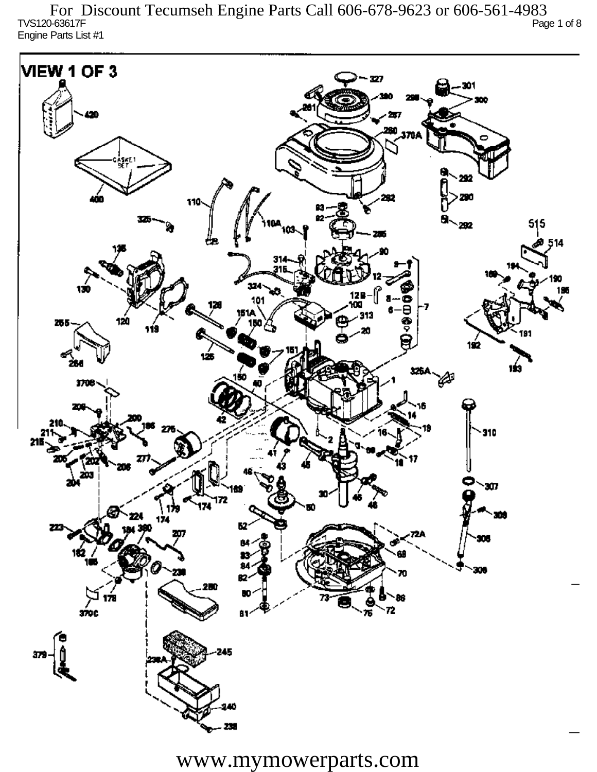TVS120-63617F Page 1 of 8 Engine Parts List #1 For Discount Tecumseh Engine Parts Call 606-678-9623 or 606-561-4983

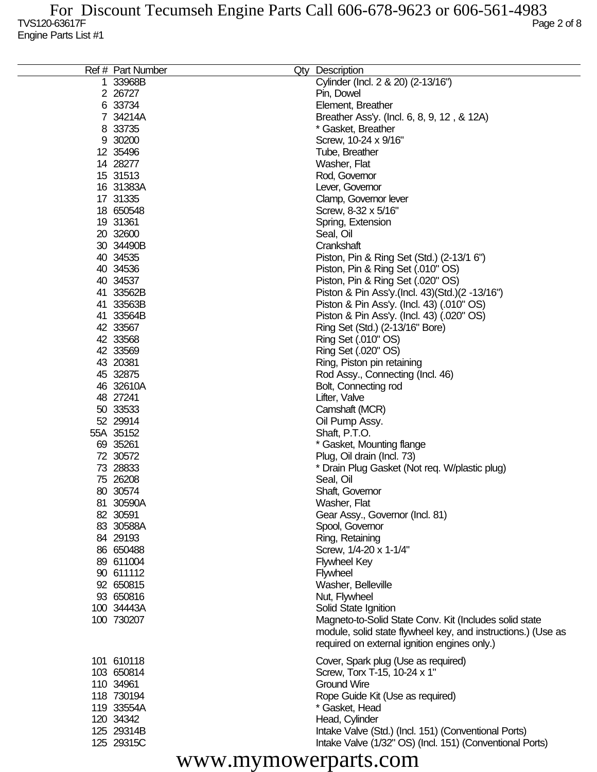| Ref # Part Number        | Qty<br>Description                                           |
|--------------------------|--------------------------------------------------------------|
| 1 33968B                 | Cylinder (Incl. 2 & 20) (2-13/16")                           |
| 2 26727                  | Pin, Dowel                                                   |
| 6 33734                  | Element, Breather                                            |
| 7 34214A                 | Breather Ass'y. (Incl. 6, 8, 9, 12, & 12A)                   |
| 8 33735                  | * Gasket, Breather                                           |
| 9 30200                  | Screw, 10-24 x 9/16"                                         |
| 12 35496                 | Tube, Breather                                               |
| 14 28277                 | Washer, Flat                                                 |
| 15 31513                 | Rod, Governor                                                |
| 16 31383A                | Lever, Governor                                              |
| 17 31335                 | Clamp, Governor lever                                        |
| 18 650548                | Screw, 8-32 x 5/16"                                          |
| 19 31361                 | Spring, Extension                                            |
| 20 32600                 | Seal, Oil                                                    |
| 30 34490B                | Crankshaft                                                   |
| 40 34535                 | Piston, Pin & Ring Set (Std.) (2-13/1 6")                    |
| 40 34536                 | Piston, Pin & Ring Set (.010" OS)                            |
| 40 34537                 | Piston, Pin & Ring Set (.020" OS)                            |
| 41 33562B                | Piston & Pin Ass'y (Incl. 43) (Std.) (2 -13/16")             |
| 41 33563B                | Piston & Pin Ass'y. (Incl. 43) (.010" OS)                    |
| 41 33564B                | Piston & Pin Ass'y. (Incl. 43) (.020" OS)                    |
| 42 33567                 | Ring Set (Std.) (2-13/16" Bore)                              |
| 42 33568                 | Ring Set (.010" OS)                                          |
| 42 33569                 | Ring Set (.020" OS)                                          |
| 43 20381                 | Ring, Piston pin retaining                                   |
| 45 32875                 | Rod Assy., Connecting (Incl. 46)                             |
| 46 32610A                | Bolt, Connecting rod                                         |
| 48 27241                 | Lifter, Valve                                                |
| 50 33533                 | Camshaft (MCR)                                               |
| 52 29914                 | Oil Pump Assy.                                               |
| 55A 35152                | Shaft, P.T.O.                                                |
| 69 35261                 | * Gasket, Mounting flange                                    |
| 72 30572                 | Plug, Oil drain (Incl. 73)                                   |
| 73 28833                 | * Drain Plug Gasket (Not req. W/plastic plug)                |
| 75 26208                 | Seal, Oil                                                    |
| 80 30574                 | Shaft, Governor                                              |
| 81 30590A                | Washer, Flat                                                 |
| 82 30591                 | Gear Assy., Governor (Incl. 81)                              |
| 83 30588A                | Spool, Governor                                              |
| 84 29193                 | Ring, Retaining                                              |
| 86 650488                | Screw, 1/4-20 x 1-1/4"                                       |
| 89 611004                | <b>Flywheel Key</b>                                          |
| 90 611112                | <b>Flywheel</b>                                              |
| 92 650815                | Washer, Belleville                                           |
| 93 650816                | Nut, Flywheel                                                |
| 100 34443A<br>100 730207 | Solid State Ignition                                         |
|                          | Magneto-to-Solid State Conv. Kit (Includes solid state       |
|                          | module, solid state flywheel key, and instructions.) (Use as |
|                          | required on external ignition engines only.)                 |
| 101 610118               | Cover, Spark plug (Use as required)                          |
| 103 650814               | Screw, Torx T-15, 10-24 x 1"                                 |
| 110 34961                | <b>Ground Wire</b>                                           |
| 118 730194               | Rope Guide Kit (Use as required)                             |
| 119 33554A               | * Gasket, Head                                               |
| 120 34342                | Head, Cylinder                                               |
| 125 29314B               | Intake Valve (Std.) (Incl. 151) (Conventional Ports)         |
| 125 29315C               | Intake Valve (1/32" OS) (Incl. 151) (Conventional Ports)     |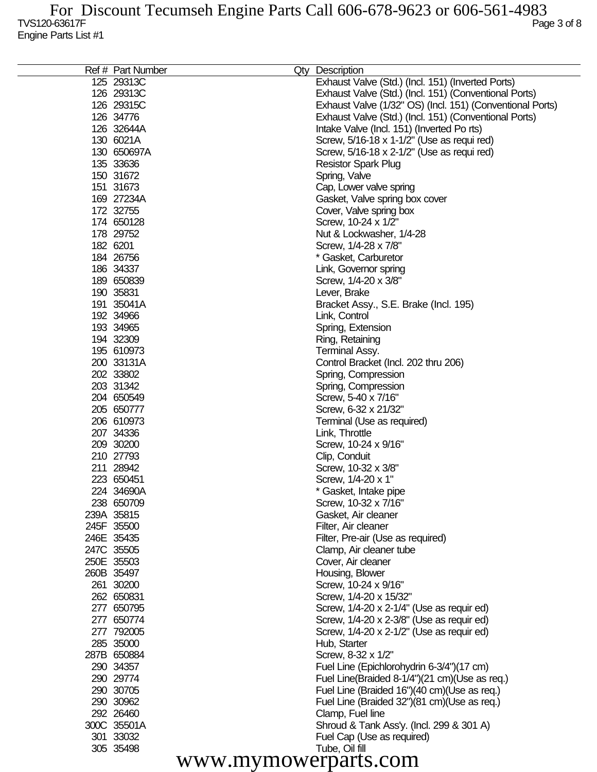| Ref # Part Number       |  | Qty Description                                             |
|-------------------------|--|-------------------------------------------------------------|
| 125 29313C              |  | Exhaust Valve (Std.) (Incl. 151) (Inverted Ports)           |
| 126 29313C              |  | Exhaust Valve (Std.) (Incl. 151) (Conventional Ports)       |
| 126 29315C              |  | Exhaust Valve (1/32" OS) (Incl. 151) (Conventional Ports)   |
| 126 34776               |  | Exhaust Valve (Std.) (Incl. 151) (Conventional Ports)       |
| 126 32644A              |  | Intake Valve (Incl. 151) (Inverted Po rts)                  |
| 130 6021A               |  | Screw, 5/16-18 x 1-1/2" (Use as requi red)                  |
| 130 650697A             |  | Screw, 5/16-18 x 2-1/2" (Use as requi red)                  |
| 135 33636               |  | <b>Resistor Spark Plug</b>                                  |
| 150 31672               |  | Spring, Valve                                               |
| 151 31673               |  | Cap, Lower valve spring                                     |
| 169 27234A              |  | Gasket, Valve spring box cover                              |
| 172 32755               |  | Cover, Valve spring box                                     |
| 174 650128              |  | Screw, 10-24 x 1/2"                                         |
| 178 29752               |  | Nut & Lockwasher, 1/4-28                                    |
| 182 6201                |  | Screw, 1/4-28 x 7/8"                                        |
| 184 26756               |  | * Gasket, Carburetor                                        |
| 186 34337               |  | Link, Governor spring                                       |
| 189 650839              |  | Screw, 1/4-20 x 3/8"                                        |
| 190 35831               |  | Lever, Brake                                                |
| 191 35041A              |  | Bracket Assy., S.E. Brake (Incl. 195)                       |
| 192 34966               |  | Link, Control                                               |
| 193 34965               |  | Spring, Extension                                           |
| 194 32309<br>195 610973 |  | Ring, Retaining                                             |
| 200 33131A              |  | Terminal Assy.                                              |
| 202 33802               |  | Control Bracket (Incl. 202 thru 206)<br>Spring, Compression |
| 203 31342               |  | Spring, Compression                                         |
| 204 650549              |  | Screw, 5-40 x 7/16"                                         |
| 205 650777              |  | Screw, 6-32 x 21/32"                                        |
| 206 610973              |  | Terminal (Use as required)                                  |
| 207 34336               |  | Link, Throttle                                              |
| 209 30200               |  | Screw, 10-24 x 9/16"                                        |
| 210 27793               |  | Clip, Conduit                                               |
| 211 28942               |  | Screw, 10-32 x 3/8"                                         |
| 223 650451              |  | Screw, 1/4-20 x 1"                                          |
| 224 34690A              |  | * Gasket, Intake pipe                                       |
| 238 650709              |  | Screw, 10-32 x 7/16"                                        |
| 239A 35815              |  | Gasket, Air cleaner                                         |
| 245F 35500              |  | Filter, Air cleaner                                         |
| 246E 35435              |  | Filter, Pre-air (Use as required)                           |
| 247C 35505              |  | Clamp, Air cleaner tube                                     |
| 250E 35503              |  | Cover, Air cleaner                                          |
| 260B 35497              |  | Housing, Blower                                             |
| 261 30200               |  | Screw, 10-24 x 9/16"                                        |
| 262 650831              |  | Screw, 1/4-20 x 15/32"                                      |
| 277 650795              |  | Screw, 1/4-20 x 2-1/4" (Use as requir ed)                   |
| 277 650774              |  | Screw, 1/4-20 x 2-3/8" (Use as requir ed)                   |
| 277 792005              |  | Screw, 1/4-20 x 2-1/2" (Use as requir ed)                   |
| 285 35000               |  | Hub, Starter                                                |
| 287B 650884             |  | Screw, 8-32 x 1/2"                                          |
| 290 34357               |  | Fuel Line (Epichlorohydrin 6-3/4")(17 cm)                   |
| 290 29774               |  | Fuel Line(Braided 8-1/4")(21 cm)(Use as req.)               |
| 290 30705               |  | Fuel Line (Braided 16")(40 cm)(Use as req.)                 |
| 290 30962               |  | Fuel Line (Braided 32")(81 cm)(Use as req.)                 |
| 292 26460               |  | Clamp, Fuel line                                            |
| 300C 35501A             |  | Shroud & Tank Ass'y. (Incl. 299 & 301 A)                    |
| 301 33032<br>305 35498  |  | Fuel Cap (Use as required)<br>Tube, Oil fill                |
|                         |  |                                                             |
| www.mymowerparts.com    |  |                                                             |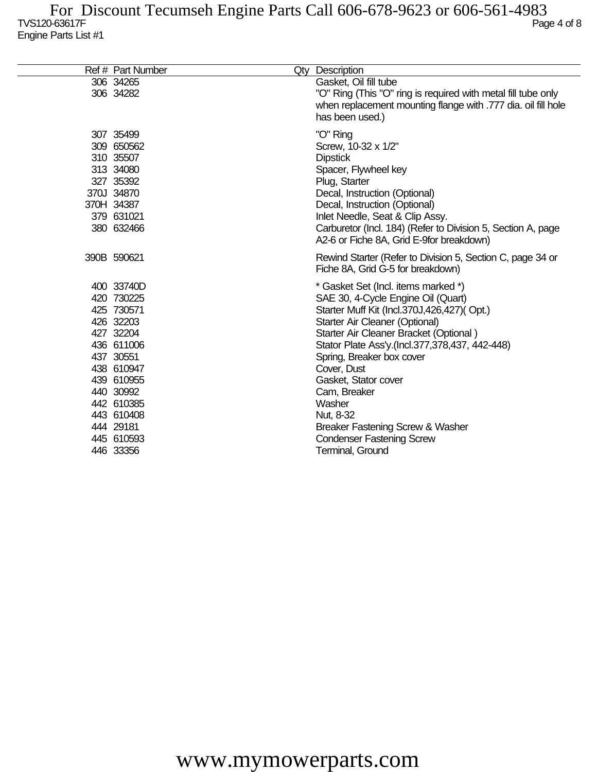| Ref # Part Number                                                                                                                                                                                        | Qty Description                                                                                                                                                                                                                                                                                                                                                                                                                                              |
|----------------------------------------------------------------------------------------------------------------------------------------------------------------------------------------------------------|--------------------------------------------------------------------------------------------------------------------------------------------------------------------------------------------------------------------------------------------------------------------------------------------------------------------------------------------------------------------------------------------------------------------------------------------------------------|
| 306 34265<br>306 34282                                                                                                                                                                                   | Gasket, Oil fill tube<br>"O" Ring (This "O" ring is required with metal fill tube only<br>when replacement mounting flange with .777 dia. oil fill hole<br>has been used.)                                                                                                                                                                                                                                                                                   |
| 307 35499<br>309 650562<br>310 35507<br>313 34080<br>327 35392<br>370J 34870<br>370H 34387<br>379 631021<br>380 632466                                                                                   | "O" Ring<br>Screw, 10-32 x 1/2"<br><b>Dipstick</b><br>Spacer, Flywheel key<br>Plug, Starter<br>Decal, Instruction (Optional)<br>Decal, Instruction (Optional)<br>Inlet Needle, Seat & Clip Assy.<br>Carburetor (Incl. 184) (Refer to Division 5, Section A, page<br>A2-6 or Fiche 8A, Grid E-9for breakdown)                                                                                                                                                 |
| 390B 590621                                                                                                                                                                                              | Rewind Starter (Refer to Division 5, Section C, page 34 or<br>Fiche 8A, Grid G-5 for breakdown)                                                                                                                                                                                                                                                                                                                                                              |
| 400 33740D<br>420 730225<br>425 730571<br>426 32203<br>427 32204<br>436 611006<br>437 30551<br>438 610947<br>439 610955<br>440 30992<br>442 610385<br>443 610408<br>444 29181<br>445 610593<br>446 33356 | * Gasket Set (Incl. items marked *)<br>SAE 30, 4-Cycle Engine Oil (Quart)<br>Starter Muff Kit (Incl.370J,426,427)(Opt.)<br>Starter Air Cleaner (Optional)<br>Starter Air Cleaner Bracket (Optional)<br>Stator Plate Ass'y.(Incl.377,378,437, 442-448)<br>Spring, Breaker box cover<br>Cover, Dust<br>Gasket, Stator cover<br>Cam, Breaker<br>Washer<br>Nut, 8-32<br>Breaker Fastening Screw & Washer<br><b>Condenser Fastening Screw</b><br>Terminal, Ground |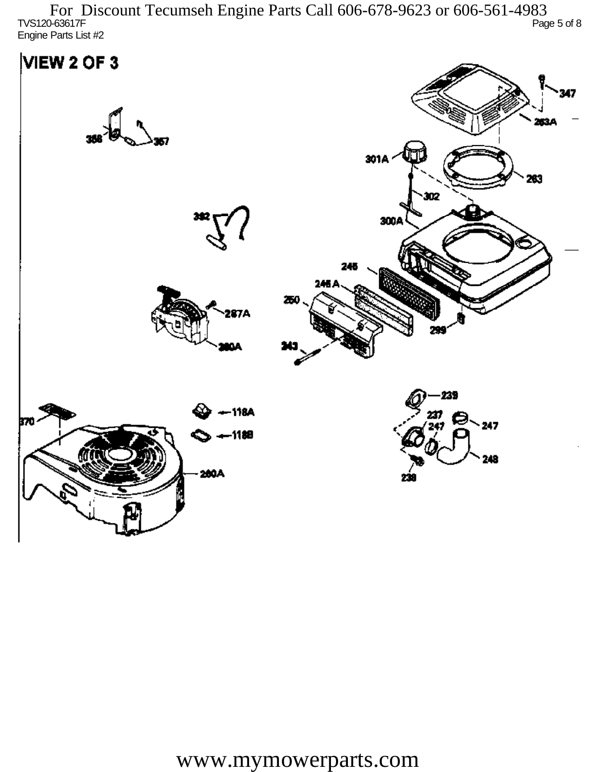$T$ VS120-63617F  $P$ age 5 of 8 Engine Parts List #2 For Discount Tecumseh Engine Parts Call 606-678-9623 or 606-561-4983

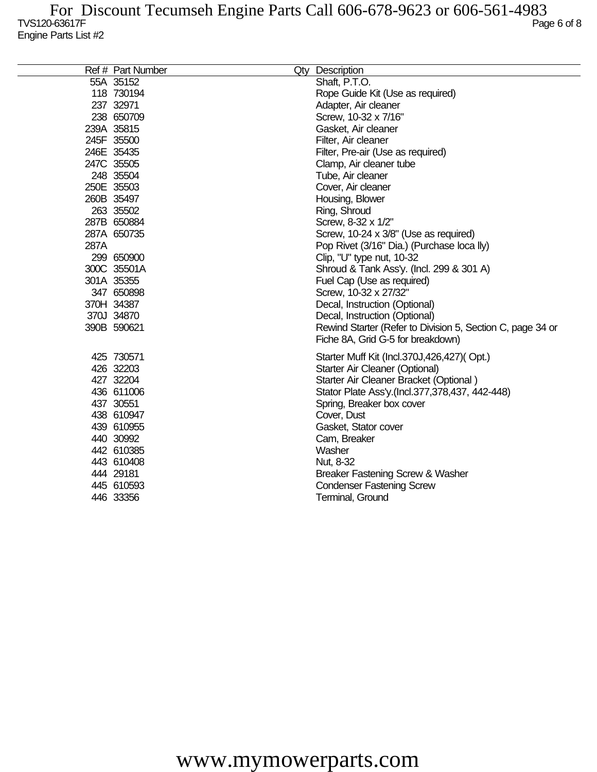|      | Ref # Part Number | Qty Description                                            |
|------|-------------------|------------------------------------------------------------|
|      | 55A 35152         | Shaft, P.T.O.                                              |
|      | 118 730194        | Rope Guide Kit (Use as required)                           |
|      | 237 32971         | Adapter, Air cleaner                                       |
|      | 238 650709        | Screw, 10-32 x 7/16"                                       |
|      | 239A 35815        | Gasket, Air cleaner                                        |
|      | 245F 35500        | Filter, Air cleaner                                        |
|      | 246E 35435        | Filter, Pre-air (Use as required)                          |
|      | 247C 35505        | Clamp, Air cleaner tube                                    |
|      | 248 35504         | Tube, Air cleaner                                          |
|      | 250E 35503        | Cover, Air cleaner                                         |
|      | 260B 35497        | Housing, Blower                                            |
|      | 263 35502         | Ring, Shroud                                               |
|      | 287B 650884       | Screw, 8-32 x 1/2"                                         |
|      | 287A 650735       | Screw, 10-24 x 3/8" (Use as required)                      |
| 287A |                   | Pop Rivet (3/16" Dia.) (Purchase loca lly)                 |
|      | 299 650900        | Clip, "U" type nut, 10-32                                  |
|      | 300C 35501A       | Shroud & Tank Ass'y. (Incl. 299 & 301 A)                   |
|      | 301A 35355        | Fuel Cap (Use as required)                                 |
|      | 347 650898        | Screw, 10-32 x 27/32"                                      |
|      | 370H 34387        | Decal, Instruction (Optional)                              |
|      | 370J 34870        | Decal, Instruction (Optional)                              |
|      | 390B 590621       | Rewind Starter (Refer to Division 5, Section C, page 34 or |
|      |                   | Fiche 8A, Grid G-5 for breakdown)                          |
|      | 425 730571        | Starter Muff Kit (Incl.370J,426,427)(Opt.)                 |
|      | 426 32203         | Starter Air Cleaner (Optional)                             |
|      | 427 32204         | Starter Air Cleaner Bracket (Optional)                     |
|      | 436 611006        | Stator Plate Ass'y.(Incl.377,378,437, 442-448)             |
|      | 437 30551         | Spring, Breaker box cover                                  |
|      | 438 610947        | Cover, Dust                                                |
|      | 439 610955        | Gasket, Stator cover                                       |
|      | 440 30992         | Cam, Breaker                                               |
|      | 442 610385        | Washer                                                     |
|      | 443 610408        | Nut, 8-32                                                  |
|      | 444 29181         | Breaker Fastening Screw & Washer                           |
|      | 445 610593        | <b>Condenser Fastening Screw</b>                           |
|      | 446 33356         | Terminal, Ground                                           |
|      |                   |                                                            |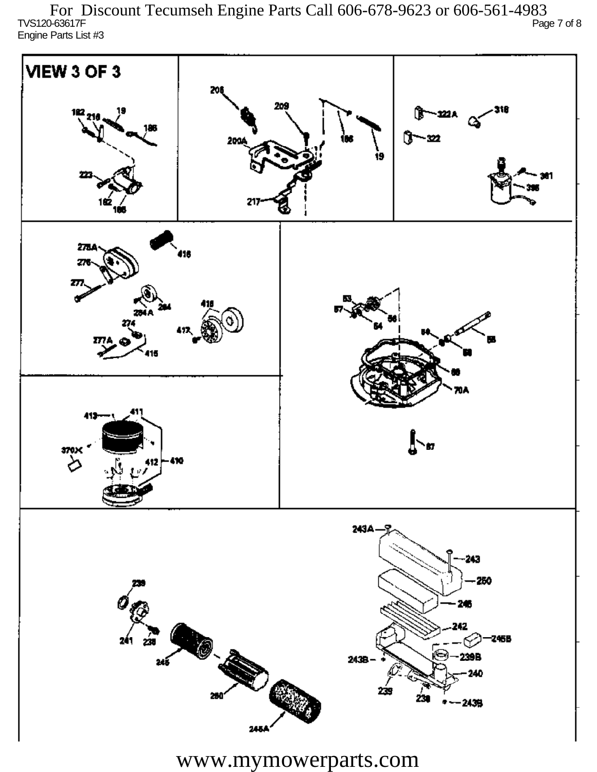TVS120-63617F Page 7 of 8 Engine Parts List #3 For Discount Tecumseh Engine Parts Call 606-678-9623 or 606-561-4983